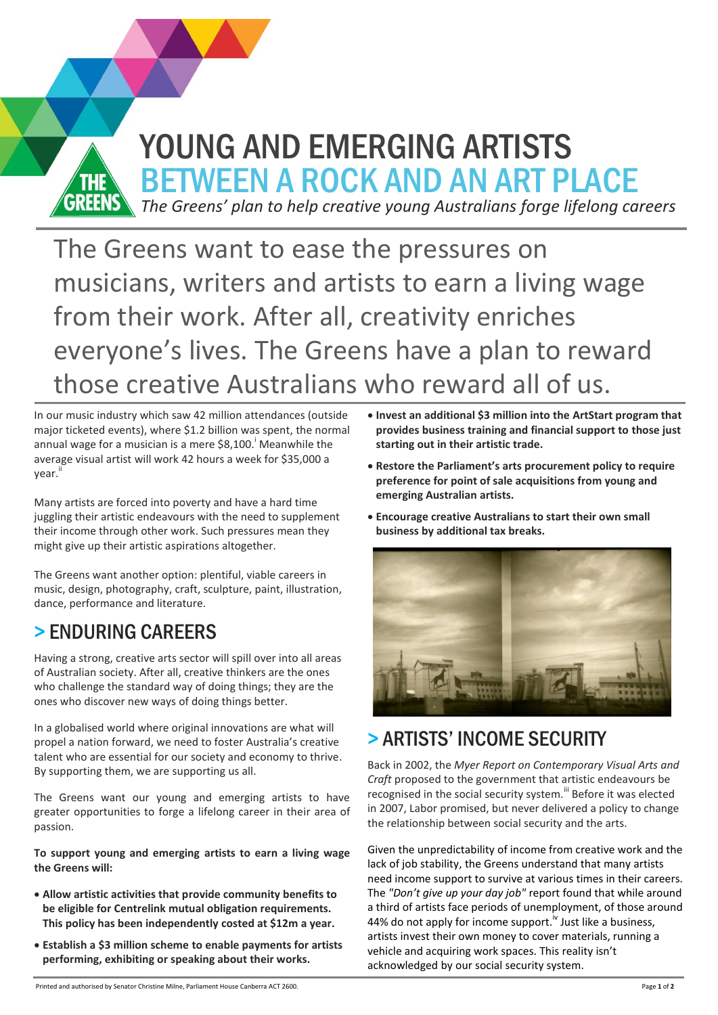

The Greens want to ease the pressures on musicians, writers and artists to earn a living wage from their work. After all, creativity enriches everyone's lives. The Greens have a plan to reward those creative Australians who reward all of us.

In our music industry which saw 42 million attendances (outside major ticketed events), where \$1.2 billion was spent, the normal annual wage for a musician is a mere \$8,100. <sup>i</sup> Meanwhile the average visual artist will work 42 hours a week for \$35,000 a year. ii

Many artists are forced into poverty and have a hard time juggling their artistic endeavours with the need to supplement their income through other work. Such pressures mean they might give up their artistic aspirations altogether.

The Greens want another option: plentiful, viable careers in music, design, photography, craft, sculpture, paint, illustration, dance, performance and literature.

## > ENDURING CAREERS

Having a strong, creative arts sector will spill over into all areas of Australian society. After all, creative thinkers are the ones who challenge the standard way of doing things; they are the ones who discover new ways of doing things better.

In a globalised world where original innovations are what will propel a nation forward, we need to foster Australia's creative talent who are essential for our society and economy to thrive. By supporting them, we are supporting us all.

The Greens want our young and emerging artists to have greater opportunities to forge a lifelong career in their area of passion.

**To support young and emerging artists to earn a living wage the Greens will:**

- **Allow artistic activities that provide community benefits to be eligible for Centrelink mutual obligation requirements. This policy has been independently costed at \$12m a year.**
- **Establish a \$3 million scheme to enable payments for artists performing, exhibiting or speaking about their works.**
- **Invest an additional \$3 million into the ArtStart program that provides business training and financial support to those just starting out in their artistic trade.**
- **Restore the Parliament's arts procurement policy to require preference for point of sale acquisitions from young and emerging Australian artists.**
- **Encourage creative Australians to start their own small business by additional tax breaks.**



## > ARTISTS' INCOME SECURITY

Back in 2002, the *Myer Report on Contemporary Visual Arts and Craft* proposed to the government that artistic endeavours be recognised in the social security system.<sup>iii</sup> Before it was elected in 2007, Labor promised, but never delivered a policy to change the relationship between social security and the arts.

Given the unpredictability of income from creative work and the lack of job stability, the Greens understand that many artists need income support to survive at various times in their careers. The *"Don't give up your day job"* report found that while around a third of artists face periods of unemployment, of those around 44% do not apply for income support.<sup>iv</sup> Just like a business, artists invest their own money to cover materials, running a vehicle and acquiring work spaces. This reality isn't acknowledged by our social security system.